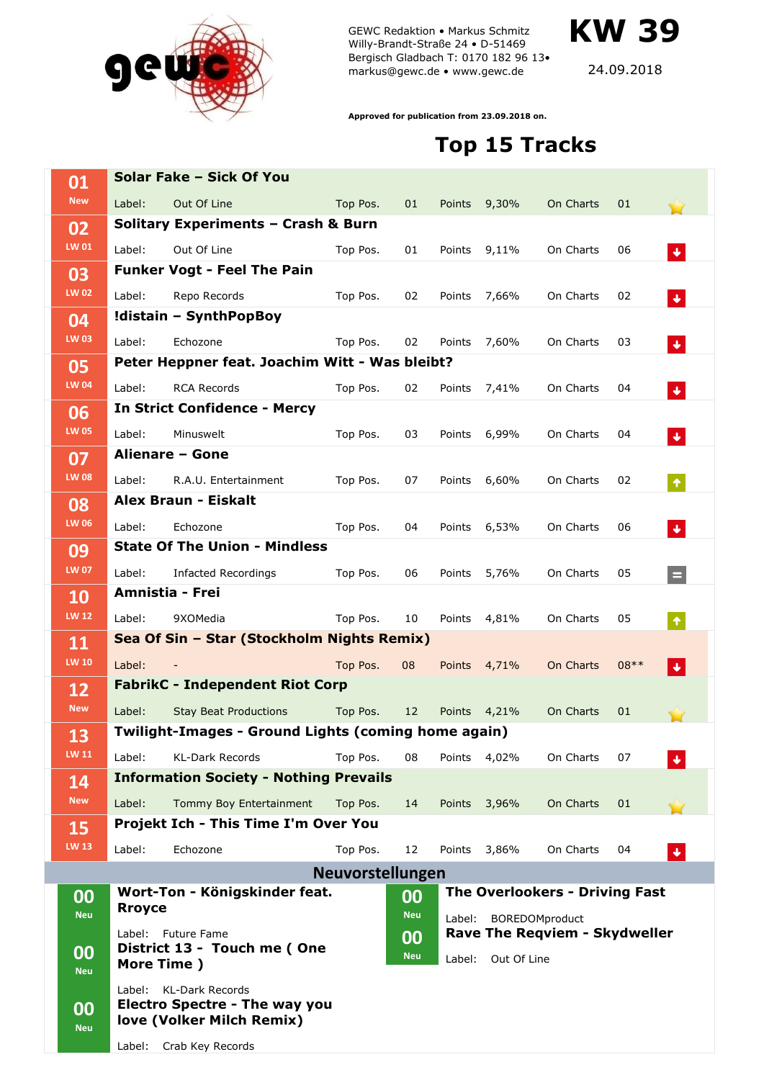

GEWC Redaktion • Markus Schmitz Willy-Brandt-Straße 24 • D-51469 Bergisch Gladbach T: 0170 182 96 13• markus@gewc.de • www.gewc.de

**KW 39**

24.09.2018

**Approved for publication from 23.09.2018 on.**

## **Top 15 Tracks**

| 01                 |                                                                 | Solar Fake - Sick Of You                                                                    |          |                  |                                                                                       |              |           |        |                             |  |
|--------------------|-----------------------------------------------------------------|---------------------------------------------------------------------------------------------|----------|------------------|---------------------------------------------------------------------------------------|--------------|-----------|--------|-----------------------------|--|
| <b>New</b>         | Label:                                                          | Out Of Line                                                                                 | Top Pos. | 01               | Points                                                                                | 9,30%        | On Charts | 01     |                             |  |
| 02                 |                                                                 | Solitary Experiments - Crash & Burn                                                         |          |                  |                                                                                       |              |           |        |                             |  |
| LW 01              | Label:                                                          | Out Of Line                                                                                 | Top Pos. | 01               | Points                                                                                | 9,11%        | On Charts | 06     | $\ddot{\bullet}$            |  |
| 03                 |                                                                 | <b>Funker Vogt - Feel The Pain</b>                                                          |          |                  |                                                                                       |              |           |        |                             |  |
| <b>LW 02</b>       | Label:                                                          | Repo Records                                                                                | Top Pos. | 02               | Points                                                                                | 7,66%        | On Charts | 02     | $\ddot{\bullet}$            |  |
| 04                 |                                                                 | !distain - SynthPopBoy                                                                      |          |                  |                                                                                       |              |           |        |                             |  |
| <b>LW 03</b>       | Label:                                                          | Echozone                                                                                    | Top Pos. | 02               | Points                                                                                | 7,60%        | On Charts | 03     | $\ddot{\bullet}$            |  |
| 05<br><b>LW 04</b> | Peter Heppner feat. Joachim Witt - Was bleibt?                  |                                                                                             |          |                  |                                                                                       |              |           |        |                             |  |
|                    | Label:                                                          | <b>RCA Records</b>                                                                          | Top Pos. | 02               | Points                                                                                | 7,41%        | On Charts | 04     | $\blacklozenge$             |  |
| 06                 |                                                                 | <b>In Strict Confidence - Mercy</b>                                                         |          |                  |                                                                                       |              |           |        |                             |  |
| <b>LW 05</b>       | Label:                                                          | Minuswelt                                                                                   | Top Pos. | 03               | Points                                                                                | 6,99%        | On Charts | 04     | $\blacklozenge$             |  |
| 07<br><b>LW 08</b> |                                                                 | Alienare - Gone                                                                             |          |                  |                                                                                       |              |           |        |                             |  |
|                    | Label:                                                          | R.A.U. Entertainment                                                                        | Top Pos. | 07               | Points                                                                                | 6,60%        | On Charts | 02     | $\blacklozenge$             |  |
| 08                 | Alex Braun - Eiskalt                                            |                                                                                             |          |                  |                                                                                       |              |           |        |                             |  |
| <b>LW 06</b>       | Label:                                                          | Echozone                                                                                    | Top Pos. | 04               | Points                                                                                | 6,53%        | On Charts | 06     | $\blacklozenge$             |  |
| 09<br><b>LW 07</b> |                                                                 | <b>State Of The Union - Mindless</b>                                                        |          |                  |                                                                                       |              |           |        |                             |  |
|                    | Label:                                                          | <b>Infacted Recordings</b>                                                                  | Top Pos. | 06               | Points                                                                                | 5,76%        | On Charts | 05     | $=$                         |  |
| 10                 |                                                                 | <b>Amnistia - Frei</b>                                                                      |          |                  |                                                                                       |              |           |        |                             |  |
| <b>LW 12</b>       | Label:                                                          | 9XOMedia                                                                                    | Top Pos. | 10               | Points                                                                                | 4,81%        | On Charts | 05     | $\blacklozenge$             |  |
| 11                 | Sea Of Sin - Star (Stockholm Nights Remix)                      |                                                                                             |          |                  |                                                                                       |              |           |        |                             |  |
| <b>LW 10</b>       | Label:                                                          |                                                                                             | Top Pos. | 08               | <b>Points</b>                                                                         | 4,71%        | On Charts | $08**$ | $\left  \downarrow \right $ |  |
| 12                 | <b>FabrikC - Independent Riot Corp</b>                          |                                                                                             |          |                  |                                                                                       |              |           |        |                             |  |
| <b>New</b>         | Label:                                                          | <b>Stay Beat Productions</b>                                                                | Top Pos. | 12 <sup>2</sup>  | Points                                                                                | 4,21%        | On Charts | 01     |                             |  |
| 13<br><b>LW 11</b> | Twilight-Images - Ground Lights (coming home again)             |                                                                                             |          |                  |                                                                                       |              |           |        |                             |  |
|                    | Label:                                                          | <b>KL-Dark Records</b>                                                                      | Top Pos. | 08               |                                                                                       | Points 4,02% | On Charts | 07     | $\blacklozenge$             |  |
| 14                 |                                                                 | <b>Information Society - Nothing Prevails</b>                                               |          |                  |                                                                                       |              |           |        |                             |  |
| <b>New</b>         | Label:                                                          | Tommy Boy Entertainment                                                                     | Top Pos. | 14               |                                                                                       | Points 3,96% | On Charts | 01     |                             |  |
| 15                 |                                                                 | Projekt Ich - This Time I'm Over You                                                        |          |                  |                                                                                       |              |           |        |                             |  |
| <b>LW 13</b>       | Label:                                                          | Echozone                                                                                    | Top Pos. | 12               |                                                                                       | Points 3,86% | On Charts | 04     | $\blacklozenge$             |  |
|                    | Neuvorstellungen                                                |                                                                                             |          |                  |                                                                                       |              |           |        |                             |  |
| 00<br><b>Neu</b>   |                                                                 | Wort-Ton - Königskinder feat.<br><b>Rroyce</b>                                              |          |                  | <b>The Overlookers - Driving Fast</b><br>00<br><b>Neu</b><br>BOREDOMproduct<br>Label: |              |           |        |                             |  |
| 00<br><b>Neu</b>   | Label: Future Fame<br>District 13 - Touch me (One<br>More Time) |                                                                                             |          | 00<br><b>Neu</b> | Rave The Reqviem - Skydweller<br>Label:<br>Out Of Line                                |              |           |        |                             |  |
| 00<br><b>Neu</b>   | Label:                                                          | <b>KL-Dark Records</b><br><b>Electro Spectre - The way you</b><br>love (Volker Milch Remix) |          |                  |                                                                                       |              |           |        |                             |  |
|                    | Label:                                                          | Crab Key Records                                                                            |          |                  |                                                                                       |              |           |        |                             |  |